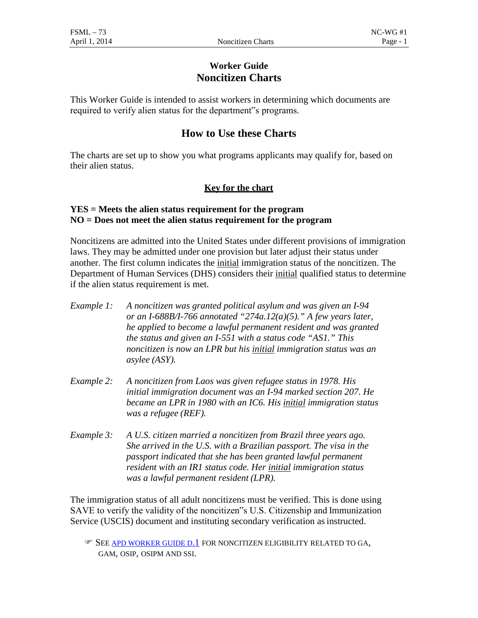## **Worker Guide Noncitizen Charts**

This Worker Guide is intended to assist workers in determining which documents are required to verify alien status for the department"s programs.

# **How to Use these Charts**

The charts are set up to show you what programs applicants may qualify for, based on their alien status.

### **Key for the chart**

### **YES = Meets the alien status requirement for the program NO = Does not meet the alien status requirement for the program**

Noncitizens are admitted into the United States under different provisions of immigration laws. They may be admitted under one provision but later adjust their status under another. The first column indicates the initial immigration status of the noncitizen. The Department of Human Services (DHS) considers their initial qualified status to determine if the alien status requirement is met.

- *Example 1: A noncitizen was granted political asylum and was given an I-94 or an I-688B/I-766 annotated "274a.12(a)(5)." A few years later, he applied to become a lawful permanent resident and was granted the status and given an I-551 with a status code "AS1." This noncitizen is now an LPR but his initial immigration status was an asylee (ASY).*
- *Example 2: A noncitizen from Laos was given refugee status in 1978. His initial immigration document was an I-94 marked section 207. He became an LPR in 1980 with an IC6. His initial immigration status was a refugee (REF).*
- *Example 3: A U.S. citizen married a noncitizen from Brazil three years ago. She arrived in the U.S. with a Brazilian passport. The visa in the passport indicated that she has been granted lawful permanent resident with an IR1 status code. Her initial immigration status was a lawful permanent resident (LPR).*

The immigration status of all adult noncitizens must be verified. This is done using SAVE to verify the validity of the noncitizen"s U.S. Citizenship and Immunization Service (USCIS) document and instituting secondary verification asinstructed.

**EF SEE [APD WORKER GUIDE D.1](http://www.dhs.state.or.us/spd/tools/additional/workergd/d.1.htm) FOR NONCITIZEN ELIGIBILITY RELATED TO GA,** GAM, OSIP, OSIPM AND SSI.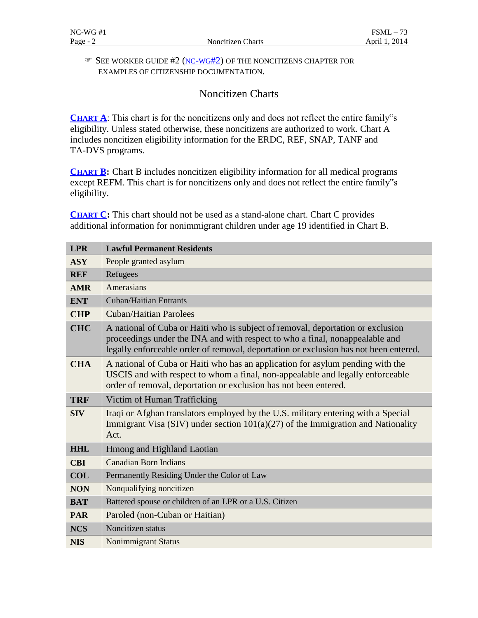#### SEE WORKER GUIDE #2 [\(NC-WG#2\)](https://www.oregon.gov/dhs/ssp/fsm/fsm/09nc-wg2.pdf#page=1) OF THE NONCITIZENS CHAPTER FOR EXAMPLES OF CITIZENSHIP DOCUMENTATION.

# Noncitizen Charts

[CHART A](https://www.oregon.gov/dhs/ssp/fsm/fsm/09nc-wg1.pdf#page=3): This chart is for the noncitizens only and does not reflect the entire family"s eligibility. Unless stated otherwise, these noncitizens are authorized to work. Chart A includes noncitizen eligibility information for the ERDC, REF, SNAP, TANF and TA-DVS programs.

**[CHART B:](https://www.oregon.gov/dhs/ssp/fsm/fsm/09nc-wg1.pdf#page=7)** Chart B includes noncitizen eligibility information for all medical programs except REFM. This chart is for noncitizens only and does not reflect the entire family"s eligibility.

**[CHART C:](https://www.oregon.gov/dhs/ssp/fsm/fsm/09nc-wg1.pdf#page=13)** This chart should not be used as a stand-alone chart. Chart C provides additional information for nonimmigrant children under age 19 identified in Chart B.

| <b>LPR</b> | <b>Lawful Permanent Residents</b>                                                                                                                                                                                                                       |
|------------|---------------------------------------------------------------------------------------------------------------------------------------------------------------------------------------------------------------------------------------------------------|
| <b>ASY</b> | People granted asylum                                                                                                                                                                                                                                   |
| <b>REF</b> | Refugees                                                                                                                                                                                                                                                |
| <b>AMR</b> | Amerasians                                                                                                                                                                                                                                              |
| <b>ENT</b> | <b>Cuban/Haitian Entrants</b>                                                                                                                                                                                                                           |
| <b>CHP</b> | <b>Cuban/Haitian Parolees</b>                                                                                                                                                                                                                           |
| <b>CHC</b> | A national of Cuba or Haiti who is subject of removal, deportation or exclusion<br>proceedings under the INA and with respect to who a final, nonappealable and<br>legally enforceable order of removal, deportation or exclusion has not been entered. |
| <b>CHA</b> | A national of Cuba or Haiti who has an application for asylum pending with the<br>USCIS and with respect to whom a final, non-appealable and legally enforceable<br>order of removal, deportation or exclusion has not been entered.                    |
| <b>TRF</b> | Victim of Human Trafficking                                                                                                                                                                                                                             |
| <b>SIV</b> | Iraqi or Afghan translators employed by the U.S. military entering with a Special<br>Immigrant Visa (SIV) under section $101(a)(27)$ of the Immigration and Nationality<br>Act.                                                                         |
| <b>HHL</b> | Hmong and Highland Laotian                                                                                                                                                                                                                              |
| <b>CBI</b> | <b>Canadian Born Indians</b>                                                                                                                                                                                                                            |
| <b>COL</b> | Permanently Residing Under the Color of Law                                                                                                                                                                                                             |
| <b>NON</b> | Nonqualifying noncitizen                                                                                                                                                                                                                                |
| <b>BAT</b> | Battered spouse or children of an LPR or a U.S. Citizen                                                                                                                                                                                                 |
| <b>PAR</b> | Paroled (non-Cuban or Haitian)                                                                                                                                                                                                                          |
| <b>NCS</b> | Noncitizen status                                                                                                                                                                                                                                       |
| <b>NIS</b> | <b>Nonimmigrant Status</b>                                                                                                                                                                                                                              |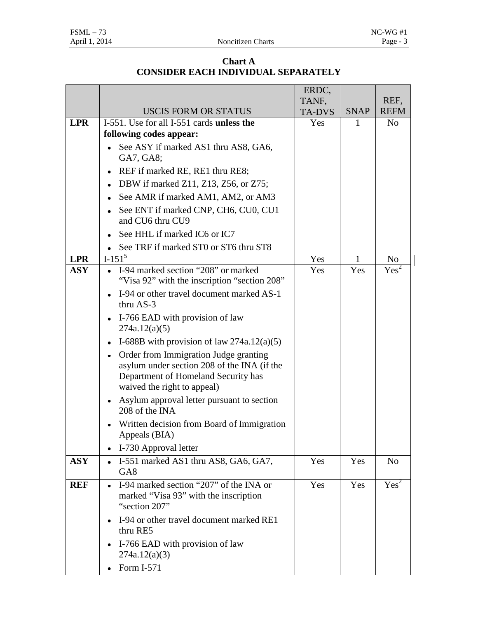### **Chart A CONSIDER EACH INDIVIDUAL SEPARATELY**

|            |                                                                                                                                                                 | ERDC,                  |              |                     |
|------------|-----------------------------------------------------------------------------------------------------------------------------------------------------------------|------------------------|--------------|---------------------|
|            | <b>USCIS FORM OR STATUS</b>                                                                                                                                     | TANF,<br><b>TA-DVS</b> | <b>SNAP</b>  | REF,<br><b>REFM</b> |
| <b>LPR</b> | I-551. Use for all I-551 cards unless the                                                                                                                       | Yes                    | 1            | N <sub>o</sub>      |
|            | following codes appear:                                                                                                                                         |                        |              |                     |
|            | See ASY if marked AS1 thru AS8, GA6,                                                                                                                            |                        |              |                     |
|            | GA7, GA8;                                                                                                                                                       |                        |              |                     |
|            | REF if marked RE, RE1 thru RE8;<br>$\bullet$                                                                                                                    |                        |              |                     |
|            | DBW if marked Z11, Z13, Z56, or Z75;                                                                                                                            |                        |              |                     |
|            | See AMR if marked AM1, AM2, or AM3<br>٠                                                                                                                         |                        |              |                     |
|            | See ENT if marked CNP, CH6, CU0, CU1<br>٠<br>and CU6 thru CU9                                                                                                   |                        |              |                     |
|            | See HHL if marked IC6 or IC7                                                                                                                                    |                        |              |                     |
|            | See TRF if marked ST0 or ST6 thru ST8                                                                                                                           |                        |              |                     |
| <b>LPR</b> | $I-1\overline{51^5}$                                                                                                                                            | Yes                    | $\mathbf{1}$ | No                  |
| <b>ASY</b> | I-94 marked section "208" or marked<br>"Visa 92" with the inscription "section 208"                                                                             | Yes                    | Yes          | Yes <sup>2</sup>    |
|            | I-94 or other travel document marked AS-1<br>$\bullet$<br>thru AS-3                                                                                             |                        |              |                     |
|            | I-766 EAD with provision of law<br>$\bullet$<br>274a.12(a)(5)                                                                                                   |                        |              |                     |
|            | I-688B with provision of law $274a.12(a)(5)$<br>٠                                                                                                               |                        |              |                     |
|            | Order from Immigration Judge granting<br>٠<br>asylum under section 208 of the INA (if the<br>Department of Homeland Security has<br>waived the right to appeal) |                        |              |                     |
|            | Asylum approval letter pursuant to section<br>٠<br>208 of the INA                                                                                               |                        |              |                     |
|            | Written decision from Board of Immigration<br>Appeals (BIA)                                                                                                     |                        |              |                     |
|            | I-730 Approval letter<br>$\bullet$                                                                                                                              |                        |              |                     |
| <b>ASY</b> | I-551 marked AS1 thru AS8, GA6, GA7,                                                                                                                            | Yes                    | Yes          | N <sub>o</sub>      |
|            | GA <sub>8</sub>                                                                                                                                                 |                        |              |                     |
| <b>REF</b> | I-94 marked section "207" of the INA or<br>$\bullet$<br>marked "Visa 93" with the inscription<br>"section 207"                                                  | Yes                    | Yes          | Yes <sup>2</sup>    |
|            | I-94 or other travel document marked RE1<br>$\bullet$<br>thru RE5                                                                                               |                        |              |                     |
|            | I-766 EAD with provision of law<br>$\bullet$<br>274a.12(a)(3)                                                                                                   |                        |              |                     |
|            | Form I-571                                                                                                                                                      |                        |              |                     |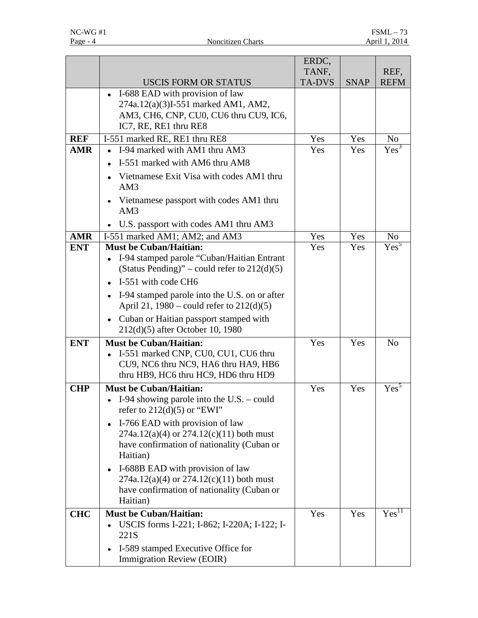|            |                                                                                                                                                         | ERDC,<br>TANF, |             | REF,              |
|------------|---------------------------------------------------------------------------------------------------------------------------------------------------------|----------------|-------------|-------------------|
|            | <b>USCIS FORM OR STATUS</b>                                                                                                                             | <b>TA-DVS</b>  | <b>SNAP</b> | <b>REFM</b>       |
|            | • I-688 EAD with provision of law                                                                                                                       |                |             |                   |
|            | 274a.12(a)(3)I-551 marked AM1, AM2,                                                                                                                     |                |             |                   |
|            | AM3, CH6, CNP, CU0, CU6 thru CU9, IC6,<br>IC7, RE, RE1 thru RE8                                                                                         |                |             |                   |
| <b>REF</b> | I-551 marked RE, RE1 thru RE8                                                                                                                           | Yes            | Yes         | No.               |
| <b>AMR</b> | I-94 marked with AM1 thru AM3<br>$\bullet$                                                                                                              | Yes            | Yes         | $Yes^3$           |
|            | I-551 marked with AM6 thru AM8<br>$\bullet$                                                                                                             |                |             |                   |
|            | Vietnamese Exit Visa with codes AM1 thru<br>٠<br>AM3                                                                                                    |                |             |                   |
|            | Vietnamese passport with codes AM1 thru<br>$\bullet$<br>AM3                                                                                             |                |             |                   |
|            | U.S. passport with codes AM1 thru AM3<br>$\bullet$                                                                                                      |                |             |                   |
| <b>AMR</b> | I-551 marked AM1; AM2; and AM3                                                                                                                          | Yes            | Yes         | No                |
| <b>ENT</b> | <b>Must be Cuban/Haitian:</b><br>I-94 stamped parole "Cuban/Haitian Entrant                                                                             | Yes            | Yes         | Yes <sup>5</sup>  |
|            | (Status Pending)" – could refer to $212(d)(5)$<br>I-551 with code CH6                                                                                   |                |             |                   |
|            | I-94 stamped parole into the U.S. on or after<br>$\bullet$                                                                                              |                |             |                   |
|            | April 21, $1980$ – could refer to $212(d)(5)$                                                                                                           |                |             |                   |
|            | Cuban or Haitian passport stamped with<br>$\bullet$<br>212(d)(5) after October 10, 1980                                                                 |                |             |                   |
| <b>ENT</b> | <b>Must be Cuban/Haitian:</b><br>I-551 marked CNP, CU0, CU1, CU6 thru<br>CU9, NC6 thru NC9, HA6 thru HA9, HB6<br>thru HB9, HC6 thru HC9, HD6 thru HD9   | Yes            | Yes         | N <sub>o</sub>    |
| <b>CHP</b> | <b>Must be Cuban/Haitian:</b><br>I-94 showing parole into the U.S. $-$ could<br>refer to $212(d)(5)$ or "EWI"                                           | Yes            | Yes         | Yes <sup>5</sup>  |
|            | I-766 EAD with provision of law<br>$\bullet$<br>$274a.12(a)(4)$ or $274.12(c)(11)$ both must<br>have confirmation of nationality (Cuban or<br>Haitian)  |                |             |                   |
|            | I-688B EAD with provision of law<br>$\bullet$<br>$274a.12(a)(4)$ or $274.12(c)(11)$ both must<br>have confirmation of nationality (Cuban or<br>Haitian) |                |             |                   |
| <b>CHC</b> | <b>Must be Cuban/Haitian:</b><br>USCIS forms I-221; I-862; I-220A; I-122; I-<br>221S                                                                    | Yes            | Yes         | Yes <sup>11</sup> |
|            | I-589 stamped Executive Office for<br>Immigration Review (EOIR)                                                                                         |                |             |                   |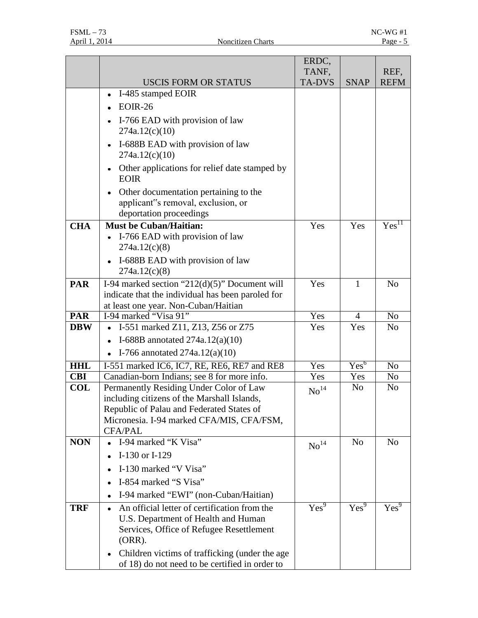|            |                                                                                                                                              | ERDC,              |                  |                   |
|------------|----------------------------------------------------------------------------------------------------------------------------------------------|--------------------|------------------|-------------------|
|            |                                                                                                                                              | TANF,              |                  | REF,              |
|            | <b>USCIS FORM OR STATUS</b>                                                                                                                  | <b>TA-DVS</b>      | <b>SNAP</b>      | <b>REFM</b>       |
|            | I-485 stamped EOIR<br>$\bullet$                                                                                                              |                    |                  |                   |
|            | $EOIR-26$                                                                                                                                    |                    |                  |                   |
|            | I-766 EAD with provision of law<br>٠<br>274a.12(c)(10)                                                                                       |                    |                  |                   |
|            | I-688B EAD with provision of law<br>$\bullet$<br>274a.12(c)(10)                                                                              |                    |                  |                   |
|            | Other applications for relief date stamped by<br>$\bullet$<br><b>EOIR</b>                                                                    |                    |                  |                   |
|            | Other documentation pertaining to the<br>٠<br>applicant"s removal, exclusion, or<br>deportation proceedings                                  |                    |                  |                   |
| <b>CHA</b> | <b>Must be Cuban/Haitian:</b>                                                                                                                | Yes                | Yes              | Yes <sup>11</sup> |
|            | I-766 EAD with provision of law                                                                                                              |                    |                  |                   |
|            | 274a.12(c)(8)                                                                                                                                |                    |                  |                   |
|            | I-688B EAD with provision of law<br>$\bullet$                                                                                                |                    |                  |                   |
|            | 274a.12(c)(8)                                                                                                                                |                    |                  |                   |
| <b>PAR</b> | I-94 marked section " $212(d)(5)$ " Document will                                                                                            | Yes                | 1                | N <sub>o</sub>    |
|            | indicate that the individual has been paroled for                                                                                            |                    |                  |                   |
| <b>PAR</b> | at least one year. Non-Cuban/Haitian<br>I-94 marked "Visa 91"                                                                                | Yes                | 4                | N <sub>o</sub>    |
| <b>DBW</b> | I-551 marked Z11, Z13, Z56 or Z75<br>٠                                                                                                       | Yes                | Yes              | N <sub>0</sub>    |
|            | I-688B annotated $274a.12(a)(10)$<br>$\bullet$                                                                                               |                    |                  |                   |
|            | I-766 annotated $274a.12(a)(10)$                                                                                                             |                    |                  |                   |
| <b>HHL</b> | I-551 marked IC6, IC7, RE, RE6, RE7 and RE8                                                                                                  | Yes                | Yes <sup>6</sup> | N <sub>o</sub>    |
| <b>CBI</b> | Canadian-born Indians; see 8 for more info.                                                                                                  | Yes                | Yes              | No                |
| <b>COL</b> | Permanently Residing Under Color of Law                                                                                                      | $\mathrm{No}^{14}$ | N <sub>o</sub>   | N <sub>o</sub>    |
|            | including citizens of the Marshall Islands,                                                                                                  |                    |                  |                   |
|            | Republic of Palau and Federated States of                                                                                                    |                    |                  |                   |
|            | Micronesia. I-94 marked CFA/MIS, CFA/FSM,                                                                                                    |                    |                  |                   |
| <b>NON</b> | <b>CFA/PAL</b><br>I-94 marked "K Visa"                                                                                                       |                    | N <sub>o</sub>   | N <sub>o</sub>    |
|            | I-130 or I-129                                                                                                                               | No <sup>14</sup>   |                  |                   |
|            |                                                                                                                                              |                    |                  |                   |
|            | I-130 marked "V Visa"                                                                                                                        |                    |                  |                   |
|            | I-854 marked "S Visa"<br>$\bullet$                                                                                                           |                    |                  |                   |
|            | I-94 marked "EWI" (non-Cuban/Haitian)<br>٠                                                                                                   |                    |                  |                   |
| <b>TRF</b> | An official letter of certification from the<br>U.S. Department of Health and Human<br>Services, Office of Refugee Resettlement<br>$(ORR)$ . | $Yes^9$            | Yes <sup>9</sup> | Yes <sup>9</sup>  |
|            | Children victims of trafficking (under the age<br>$\bullet$<br>of 18) do not need to be certified in order to                                |                    |                  |                   |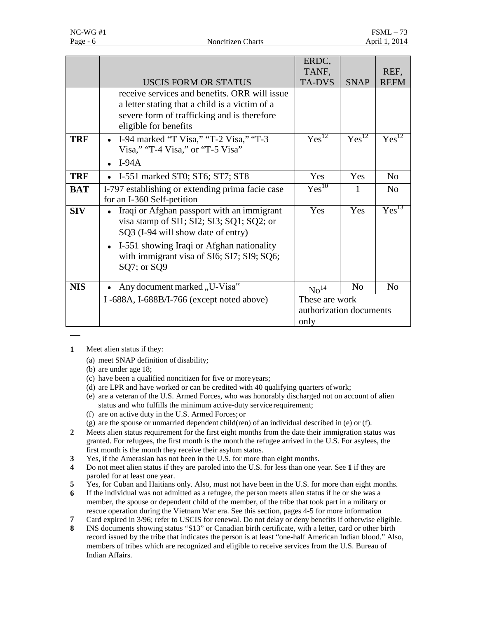|            |                                                                                                                                                                                                                                                                   | ERDC,<br>TANF,                                    |                | REF,              |
|------------|-------------------------------------------------------------------------------------------------------------------------------------------------------------------------------------------------------------------------------------------------------------------|---------------------------------------------------|----------------|-------------------|
|            | <b>USCIS FORM OR STATUS</b>                                                                                                                                                                                                                                       | <b>TA-DVS</b>                                     | <b>SNAP</b>    | <b>REFM</b>       |
|            | receive services and benefits. ORR will issue<br>a letter stating that a child is a victim of a<br>severe form of trafficking and is therefore<br>eligible for benefits                                                                                           |                                                   |                |                   |
| <b>TRF</b> | I-94 marked "T Visa," "T-2 Visa," "T-3<br>$\bullet$<br>Visa," "T-4 Visa," or "T-5 Visa"<br>$I-94A$                                                                                                                                                                | $Yes^{12}$                                        | $Yes^{12}$     | $Yes^{12}$        |
|            |                                                                                                                                                                                                                                                                   |                                                   |                |                   |
| <b>TRF</b> | I-551 marked ST0; ST6; ST7; ST8<br>$\bullet$                                                                                                                                                                                                                      | Yes                                               | Yes            | N <sub>o</sub>    |
| <b>BAT</b> | I-797 establishing or extending prima facie case<br>for an I-360 Self-petition                                                                                                                                                                                    | $Yes^{10}$                                        | 1              | N <sub>o</sub>    |
| <b>SIV</b> | Iraqi or Afghan passport with an immigrant<br>$\bullet$<br>visa stamp of SI1; SI2; SI3; SQ1; SQ2; or<br>SQ3 (I-94 will show date of entry)<br>I-551 showing Iraqi or Afghan nationality<br>$\bullet$<br>with immigrant visa of SI6; SI7; SI9; SQ6;<br>SQ7; or SQ9 | Yes                                               | Yes            | Yes <sup>13</sup> |
| <b>NIS</b> | Any document marked, U-Visa"                                                                                                                                                                                                                                      | $\mathrm{No}^{14}$                                | N <sub>0</sub> | N <sub>o</sub>    |
|            | I-688A, I-688B/I-766 (except noted above)                                                                                                                                                                                                                         | These are work<br>authorization documents<br>only |                |                   |

- **1** Meet alien status if they:
	- (a) meet SNAP definition of disability;
	- (b) are under age 18;
	- (c) have been a qualified noncitizen for five or moreyears;
	- (d) are LPR and have worked or can be credited with 40 qualifying quarters ofwork;
	- (e) are a veteran of the U.S. Armed Forces, who was honorably discharged not on account of alien status and who fulfills the minimum active-duty service requirement;
	- (f) are on active duty in the U.S. Armed Forces; or
	- (g) are the spouse or unmarried dependent child(ren) of an individual described in (e) or (f).
- **2** Meets alien status requirement for the first eight months from the date their immigration status was granted. For refugees, the first month is the month the refugee arrived in the U.S. For asylees, the first month is the month they receive their asylum status.
- **3** Yes, if the Amerasian has not been in the U.S. for more than eight months.
- **4** Do not meet alien status if they are paroled into the U.S. for less than one year. See **1** if they are paroled for at least one year.
- **5** Yes, for Cuban and Haitians only. Also, must not have been in the U.S. for more than eight months.
- **6** If the individual was not admitted as a refugee, the person meets alien status if he or she was a member, the spouse or dependent child of the member, of the tribe that took part in a military or rescue operation during the Vietnam War era. See this section, pages 4-5 for more information
- **7** Card expired in 3/96; refer to USCIS for renewal. Do not delay or deny benefits if otherwise eligible.<br>**8** INS documents showing status "S13" or Canadian birth certificate, with a letter, card or other birth
- **8** INS documents showing status "S13" or Canadian birth certificate, with a letter, card or other birth record issued by the tribe that indicates the person is at least "one-half American Indian blood." Also, members of tribes which are recognized and eligible to receive services from the U.S. Bureau of Indian Affairs.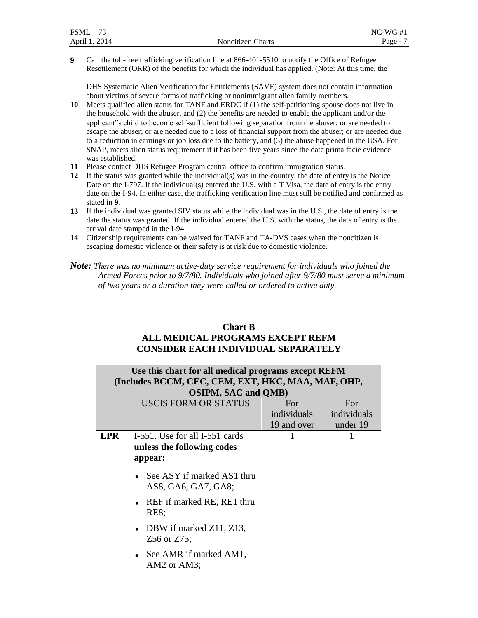| $FSML -$<br>73 |                          | $NC-WG#1$ |
|----------------|--------------------------|-----------|
| April 1, 2014  | <b>Noncitizen Charts</b> | $Page -$  |

**9** Call the toll-free trafficking verification line at 866-401-5510 to notify the Office of Refugee Resettlement (ORR) of the benefits for which the individual has applied. (Note: At this time, the

DHS Systematic Alien Verification for Entitlements (SAVE) system does not contain information about victims of severe forms of trafficking or nonimmigrant alien family members.

**10** Meets qualified alien status for TANF and ERDC if (1) the self-petitioning spouse does not live in the household with the abuser, and (2) the benefits are needed to enable the applicant and/or the applicant"s child to become self-sufficient following separation from the abuser; or are needed to escape the abuser; or are needed due to a loss of financial support from the abuser; or are needed due to a reduction in earnings or job loss due to the battery, and (3) the abuse happened in the USA. For SNAP, meets alien status requirement if it has been five years since the date prima facie evidence was established.

- **11** Please contact DHS Refugee Program central office to confirm immigration status.
- **12** If the status was granted while the individual(s) was in the country, the date of entry is the Notice Date on the I-797. If the individual(s) entered the U.S. with a T Visa, the date of entry is the entry date on the I-94. In either case, the trafficking verification line must still be notified and confirmed as stated in **9**.
- **13** If the individual was granted SIV status while the individual was in the U.S., the date of entry is the date the status was granted. If the individual entered the U.S. with the status, the date of entry is the arrival date stamped in the I-94.
- **14** Citizenship requirements can be waived for TANF and TA-DVS cases when the noncitizen is escaping domestic violence or their safety is at risk due to domestic violence.

*Note: There was no minimum active-duty service requirement for individuals who joined the Armed Forces prior to 9/7/80. Individuals who joined after 9/7/80 must serve a minimum of two years or a duration they were called or ordered to active duty.*

### **Chart B ALL MEDICAL PROGRAMS EXCEPT REFM CONSIDER EACH INDIVIDUAL SEPARATELY**

|            | Use this chart for all medical programs except REFM |             |             |  |  |
|------------|-----------------------------------------------------|-------------|-------------|--|--|
|            | (Includes BCCM, CEC, CEM, EXT, HKC, MAA, MAF, OHP,  |             |             |  |  |
|            | <b>OSIPM, SAC and QMB)</b>                          |             |             |  |  |
|            | <b>USCIS FORM OR STATUS</b>                         | For         | For         |  |  |
|            |                                                     | individuals | individuals |  |  |
|            |                                                     | 19 and over | under 19    |  |  |
| <b>LPR</b> | I-551. Use for all I-551 cards                      |             |             |  |  |
|            | unless the following codes                          |             |             |  |  |
|            | appear:                                             |             |             |  |  |
|            | See ASY if marked AS1 thru<br>AS8, GA6, GA7, GA8;   |             |             |  |  |
|            | • REF if marked RE, RE1 thru<br><b>RE8;</b>         |             |             |  |  |
|            | DBW if marked Z11, Z13,<br>Z56 or Z75;              |             |             |  |  |
|            | See AMR if marked AM1,<br>AM2 or AM3;               |             |             |  |  |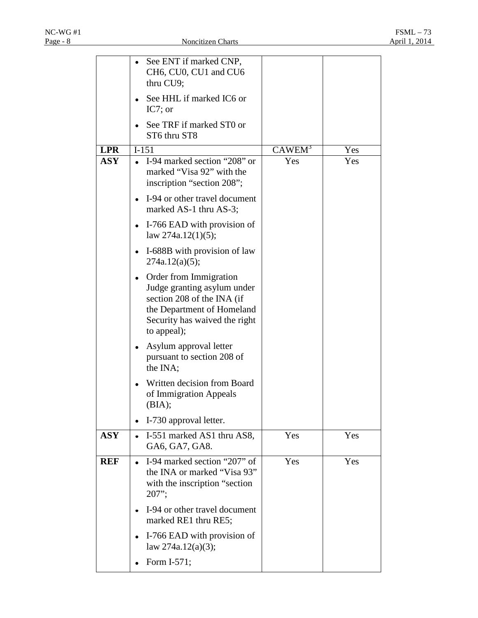| <b>LPR</b> |           | See ENT if marked CNP,<br>CH6, CU0, CU1 and CU6<br>thru CU9;<br>See HHL if marked IC6 or<br>IC7; or<br>See TRF if marked ST0 or<br>ST6 thru ST8<br>$I-151$        | CAWEM <sup>3</sup> | Yes |
|------------|-----------|-------------------------------------------------------------------------------------------------------------------------------------------------------------------|--------------------|-----|
| <b>ASY</b> |           | • I-94 marked section "208" or<br>marked "Visa 92" with the<br>inscription "section 208";                                                                         | Yes                | Yes |
|            |           | I-94 or other travel document<br>marked AS-1 thru AS-3;                                                                                                           |                    |     |
|            |           | I-766 EAD with provision of<br>law $274a.12(1)(5)$ ;                                                                                                              |                    |     |
|            |           | I-688B with provision of law<br>274a.12(a)(5);                                                                                                                    |                    |     |
|            |           | Order from Immigration<br>Judge granting asylum under<br>section 208 of the INA (if<br>the Department of Homeland<br>Security has waived the right<br>to appeal); |                    |     |
|            |           | Asylum approval letter<br>pursuant to section 208 of<br>the INA;                                                                                                  |                    |     |
|            |           | Written decision from Board<br>of Immigration Appeals<br>(BIA);                                                                                                   |                    |     |
|            |           | I-730 approval letter.                                                                                                                                            |                    |     |
| <b>ASY</b> |           | I-551 marked AS1 thru AS8,<br>GA6, GA7, GA8.                                                                                                                      | Yes                | Yes |
| <b>REF</b> | $\bullet$ | I-94 marked section "207" of<br>the INA or marked "Visa 93"<br>with the inscription "section<br>$207$ ";                                                          | Yes                | Yes |
|            |           | I-94 or other travel document<br>marked RE1 thru RE5;                                                                                                             |                    |     |
|            |           | I-766 EAD with provision of<br>law $274a.12(a)(3);$                                                                                                               |                    |     |
|            |           | Form I-571;                                                                                                                                                       |                    |     |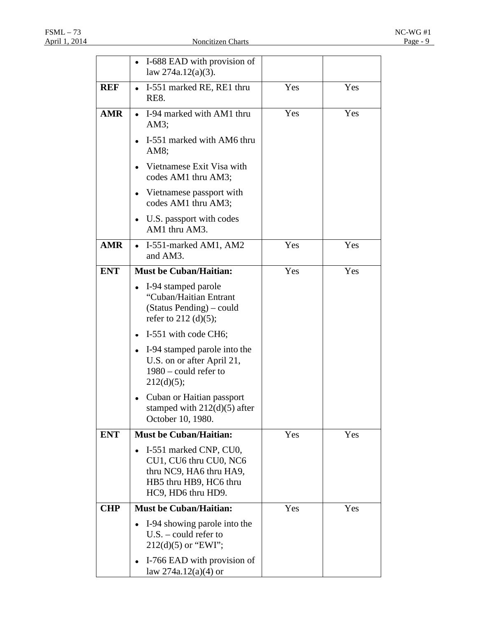|            | I-688 EAD with provision of                                                                                                 |     |     |
|------------|-----------------------------------------------------------------------------------------------------------------------------|-----|-----|
|            | law $274a.12(a)(3)$ .                                                                                                       |     |     |
| <b>REF</b> | I-551 marked RE, RE1 thru<br>$\bullet$<br>RE8.                                                                              | Yes | Yes |
| <b>AMR</b> | I-94 marked with AM1 thru<br>$AM3$ ;                                                                                        | Yes | Yes |
|            | I-551 marked with AM6 thru<br>AM8;                                                                                          |     |     |
|            | Vietnamese Exit Visa with<br>codes AM1 thru AM3;                                                                            |     |     |
|            | • Vietnamese passport with<br>codes AM1 thru AM3;                                                                           |     |     |
|            | • U.S. passport with codes<br>AM1 thru AM3.                                                                                 |     |     |
| <b>AMR</b> | I-551-marked AM1, AM2<br>$\bullet$<br>and AM3.                                                                              | Yes | Yes |
| <b>ENT</b> | <b>Must be Cuban/Haitian:</b>                                                                                               | Yes | Yes |
|            | I-94 stamped parole<br>"Cuban/Haitian Entrant<br>(Status Pending) – could<br>refer to $212 \text{ (d)(5)}$ ;                |     |     |
|            | I-551 with code CH6;                                                                                                        |     |     |
|            | • I-94 stamped parole into the<br>U.S. on or after April 21,<br>$1980$ – could refer to<br>212(d)(5);                       |     |     |
|            | Cuban or Haitian passport<br>stamped with $212(d)(5)$ after<br>October 10, 1980.                                            |     |     |
| <b>ENT</b> | Must be Cuban/Haitian:                                                                                                      | Yes | Yes |
|            | I-551 marked CNP, CU0,<br>CU1, CU6 thru CU0, NC6<br>thru NC9, HA6 thru HA9,<br>HB5 thru HB9, HC6 thru<br>HC9, HD6 thru HD9. |     |     |
| <b>CHP</b> | <b>Must be Cuban/Haitian:</b>                                                                                               | Yes | Yes |
|            | I-94 showing parole into the<br>$U.S. - \text{could refer to}$<br>$212(d)(5)$ or "EWI";                                     |     |     |
|            | I-766 EAD with provision of<br>law 274a.12(a)(4) or                                                                         |     |     |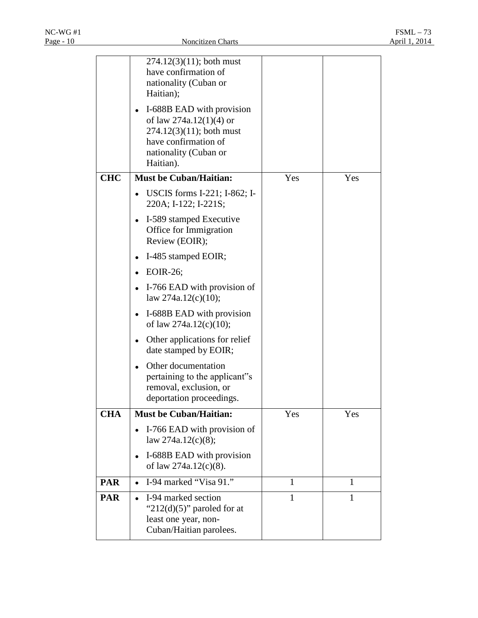|            | $274.12(3)(11)$ ; both must<br>have confirmation of<br>nationality (Cuban or<br>Haitian);                                                           |              |              |
|------------|-----------------------------------------------------------------------------------------------------------------------------------------------------|--------------|--------------|
|            | I-688B EAD with provision<br>of law $274a.12(1)(4)$ or<br>$274.12(3)(11)$ ; both must<br>have confirmation of<br>nationality (Cuban or<br>Haitian). |              |              |
| <b>CHC</b> | <b>Must be Cuban/Haitian:</b>                                                                                                                       | Yes          | Yes          |
|            | USCIS forms I-221; I-862; I-<br>220A; I-122; I-221S;                                                                                                |              |              |
|            | I-589 stamped Executive<br>Office for Immigration<br>Review (EOIR);                                                                                 |              |              |
|            | I-485 stamped EOIR;                                                                                                                                 |              |              |
|            | EOIR-26;<br>٠                                                                                                                                       |              |              |
|            | I-766 EAD with provision of<br>law $274a.12(c)(10);$                                                                                                |              |              |
|            | I-688B EAD with provision<br>٠<br>of law $274a.12(c)(10);$                                                                                          |              |              |
|            | Other applications for relief<br>date stamped by EOIR;                                                                                              |              |              |
|            | Other documentation<br>pertaining to the applicant"s<br>removal, exclusion, or<br>deportation proceedings.                                          |              |              |
| <b>CHA</b> | <b>Must be Cuban/Haitian:</b>                                                                                                                       | Yes          | Yes          |
|            | I-766 EAD with provision of<br>law $274a.12(c)(8)$ ;                                                                                                |              |              |
|            | I-688B EAD with provision<br>of law $274a.12(c)(8)$ .                                                                                               |              |              |
| <b>PAR</b> | I-94 marked "Visa $9\overline{1."}$<br>$\bullet$                                                                                                    | 1            | $\mathbf{1}$ |
| <b>PAR</b> | I-94 marked section<br>" $212(d)(5)$ " paroled for at<br>least one year, non-<br>Cuban/Haitian parolees.                                            | $\mathbf{1}$ | $\mathbf{1}$ |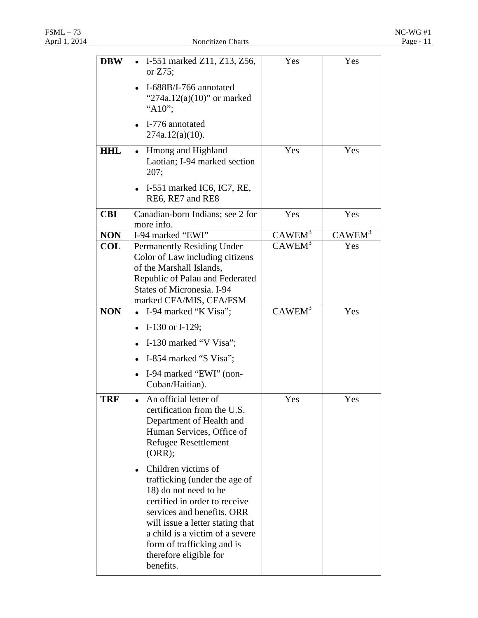| <b>DBW</b> | I-551 marked Z11, Z13, Z56,<br>$\bullet$<br>or $Z75$ ;                                                                                                                                                                                                                                        | Yes                | Yes                |
|------------|-----------------------------------------------------------------------------------------------------------------------------------------------------------------------------------------------------------------------------------------------------------------------------------------------|--------------------|--------------------|
|            | I-688B/I-766 annotated<br>" $274a.12(a)(10)$ " or marked<br>"A10";                                                                                                                                                                                                                            |                    |                    |
|            | I-776 annotated<br>$274a.12(a)(10)$ .                                                                                                                                                                                                                                                         |                    |                    |
| <b>HHL</b> | Hmong and Highland<br>٠<br>Laotian; I-94 marked section<br>207;                                                                                                                                                                                                                               | Yes                | Yes                |
|            | I-551 marked IC6, IC7, RE,<br>٠<br>RE6, RE7 and RE8                                                                                                                                                                                                                                           |                    |                    |
| <b>CBI</b> | Canadian-born Indians; see 2 for<br>more info.                                                                                                                                                                                                                                                | Yes                | Yes                |
| <b>NON</b> | I-94 marked "EWI"                                                                                                                                                                                                                                                                             | CAWEM <sup>3</sup> | CAWEM <sup>3</sup> |
| COL        | <b>Permanently Residing Under</b><br>Color of Law including citizens<br>of the Marshall Islands,<br>Republic of Palau and Federated<br><b>States of Micronesia. I-94</b>                                                                                                                      | CAWEM <sup>3</sup> | Yes                |
|            | marked CFA/MIS, CFA/FSM                                                                                                                                                                                                                                                                       |                    |                    |
| <b>NON</b> | I-94 marked "K Visa";                                                                                                                                                                                                                                                                         | CAWEM <sup>3</sup> | Yes                |
|            | I-130 or I-129;                                                                                                                                                                                                                                                                               |                    |                    |
|            | I-130 marked "V Visa";<br>$\bullet$                                                                                                                                                                                                                                                           |                    |                    |
|            | I-854 marked "S Visa";                                                                                                                                                                                                                                                                        |                    |                    |
|            | I-94 marked "EWI" (non-<br>$\bullet$<br>Cuban/Haitian).                                                                                                                                                                                                                                       |                    |                    |
| <b>TRF</b> | An official letter of<br>certification from the U.S.<br>Department of Health and<br>Human Services, Office of<br>Refugee Resettlement<br>(ORR);                                                                                                                                               | Yes                | Yes                |
|            | Children victims of<br>٠<br>trafficking (under the age of<br>18) do not need to be<br>certified in order to receive<br>services and benefits. ORR<br>will issue a letter stating that<br>a child is a victim of a severe<br>form of trafficking and is<br>therefore eligible for<br>benefits. |                    |                    |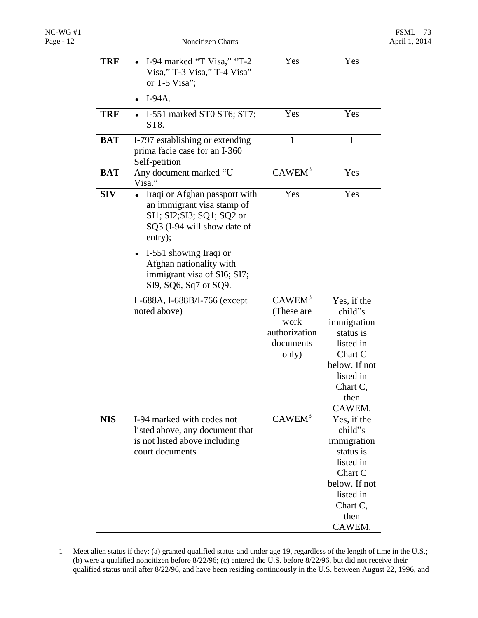| <b>TRF</b> | I-94 marked "T Visa," "T-2<br>Visa," T-3 Visa," T-4 Visa"<br>or T-5 Visa";                                                          | Yes                                                                             | Yes                                                                                                                                    |
|------------|-------------------------------------------------------------------------------------------------------------------------------------|---------------------------------------------------------------------------------|----------------------------------------------------------------------------------------------------------------------------------------|
|            | $I-94A.$                                                                                                                            |                                                                                 |                                                                                                                                        |
| <b>TRF</b> | I-551 marked ST0 ST6; ST7;<br>ST8.                                                                                                  | Yes                                                                             | Yes                                                                                                                                    |
| <b>BAT</b> | I-797 establishing or extending<br>prima facie case for an I-360<br>Self-petition                                                   | 1                                                                               | $\mathbf{1}$                                                                                                                           |
| <b>BAT</b> | Any document marked "U<br>Visa."                                                                                                    | $CAWEM^3$                                                                       | Yes                                                                                                                                    |
| <b>SIV</b> | Iraqi or Afghan passport with<br>an immigrant visa stamp of<br>SI1; SI2; SI3; SQ1; SQ2 or<br>SQ3 (I-94 will show date of<br>entry); | Yes                                                                             | Yes                                                                                                                                    |
|            | I-551 showing Iraqi or<br>Afghan nationality with<br>immigrant visa of SI6; SI7;<br>SI9, SQ6, Sq7 or SQ9.                           |                                                                                 |                                                                                                                                        |
|            | I-688A, I-688B/I-766 (except<br>noted above)                                                                                        | CAWEM <sup>3</sup><br>(These are<br>work<br>authorization<br>documents<br>only) | Yes, if the<br>child"s<br>immigration<br>status is<br>listed in<br>Chart C<br>below. If not<br>listed in<br>Chart C,<br>then<br>CAWEM. |
| <b>NIS</b> | I-94 marked with codes not<br>listed above, any document that<br>is not listed above including<br>court documents                   | $CAWEM^3$                                                                       | Yes, if the<br>child"s<br>immigration<br>status is<br>listed in<br>Chart C<br>below. If not<br>listed in<br>Chart C,<br>then<br>CAWEM. |

1 Meet alien status if they: (a) granted qualified status and under age 19, regardless of the length of time in the U.S.; (b) were a qualified noncitizen before 8/22/96; (c) entered the U.S. before 8/22/96, but did not receive their qualified status until after 8/22/96, and have been residing continuously in the U.S. between August 22, 1996, and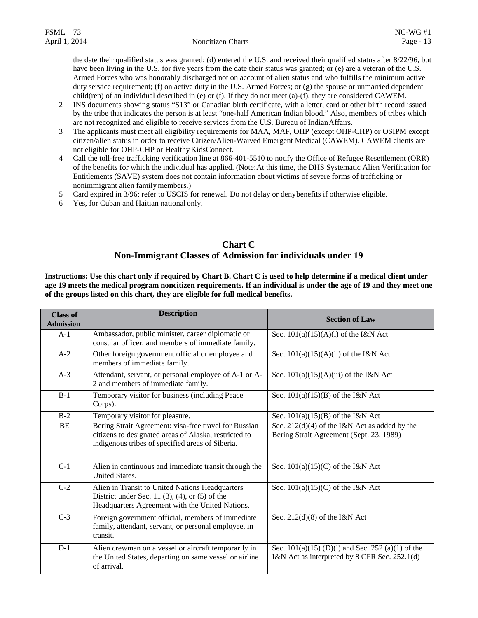| $FSML -$<br>$\overline{\phantom{a}}$ |                          | $NC-WG#1$ |
|--------------------------------------|--------------------------|-----------|
| April 1, 2014                        | <b>Noncitizen Charts</b> | Page -    |

the date their qualified status was granted; (d) entered the U.S. and received their qualified status after 8/22/96, but have been living in the U.S. for five years from the date their status was granted; or (e) are a veteran of the U.S. Armed Forces who was honorably discharged not on account of alien status and who fulfills the minimum active duty service requirement; (f) on active duty in the U.S. Armed Forces; or (g) the spouse or unmarried dependent child(ren) of an individual described in (e) or (f). If they do not meet (a)-(f), they are considered CAWEM.

- 2 INS documents showing status "S13" or Canadian birth certificate, with a letter, card or other birth record issued by the tribe that indicates the person is at least "one-half American Indian blood." Also, members of tribes which are not recognized and eligible to receive services from the U.S. Bureau of IndianAffairs.
- 3 The applicants must meet all eligibility requirements for MAA, MAF, OHP (except OHP-CHP) or OSIPM except citizen/alien status in order to receive Citizen/Alien-Waived Emergent Medical (CAWEM). CAWEM clients are not eligible for OHP-CHP or Healthy KidsConnect.
- 4 Call the toll-free trafficking verification line at 866-401-5510 to notify the Office of Refugee Resettlement (ORR) of the benefits for which the individual has applied. (Note:At this time, the DHS Systematic Alien Verification for Entitlements (SAVE) system does not contain information about victims of severe forms of trafficking or nonimmigrant alien familymembers.)
- 5 Card expired in 3/96; refer to USCIS for renewal. Do not delay or denybenefits if otherwise eligible.
- 6 Yes, for Cuban and Haitian national only.

#### **Chart C Non-Immigrant Classes of Admission for individuals under 19**

**Instructions: Use this chart only if required by Chart B. Chart C is used to help determine if a medical client under age 19 meets the medical program noncitizen requirements. If an individual is under the age of 19 and they meet one of the groups listed on this chart, they are eligible for full medical benefits.**

| <b>Class of</b><br><b>Admission</b> | <b>Description</b>                                                                                                                                                 | <b>Section of Law</b>                                                                                |  |
|-------------------------------------|--------------------------------------------------------------------------------------------------------------------------------------------------------------------|------------------------------------------------------------------------------------------------------|--|
| $A-1$                               | Ambassador, public minister, career diplomatic or<br>consular officer, and members of immediate family.                                                            | Sec. $101(a)(15)(A)(i)$ of the I&N Act                                                               |  |
| $A-2$                               | Other foreign government official or employee and<br>members of immediate family.                                                                                  | Sec. $101(a)(15)(A)(ii)$ of the I&N Act                                                              |  |
| $A-3$                               | Attendant, servant, or personal employee of A-1 or A-<br>2 and members of immediate family.                                                                        | Sec. $101(a)(15)(A)(iii)$ of the I&N Act                                                             |  |
| $B-1$                               | Temporary visitor for business (including Peace<br>Corps).                                                                                                         | Sec. $101(a)(15)(B)$ of the I&N Act                                                                  |  |
| $B-2$                               | Temporary visitor for pleasure.                                                                                                                                    | Sec. $101(a)(15)(B)$ of the I&N Act                                                                  |  |
| <b>BE</b>                           | Bering Strait Agreement: visa-free travel for Russian<br>citizens to designated areas of Alaska, restricted to<br>indigenous tribes of specified areas of Siberia. | Sec. $212(d)(4)$ of the I&N Act as added by the<br>Bering Strait Agreement (Sept. 23, 1989)          |  |
| $C-1$                               | Alien in continuous and immediate transit through the<br><b>United States.</b>                                                                                     | Sec. $101(a)(15)(C)$ of the I&N Act                                                                  |  |
| $\overline{C-2}$                    | Alien in Transit to United Nations Headquarters<br>District under Sec. 11 $(3)$ , $(4)$ , or $(5)$ of the<br>Headquarters Agreement with the United Nations.       | Sec. $101(a)(15)(C)$ of the I&N Act                                                                  |  |
| $C-3$                               | Foreign government official, members of immediate<br>family, attendant, servant, or personal employee, in<br>transit.                                              | Sec. $212(d)(8)$ of the I&N Act                                                                      |  |
| $D-1$                               | Alien crewman on a vessel or aircraft temporarily in<br>the United States, departing on same vessel or airline<br>of arrival.                                      | Sec. $101(a)(15)$ (D)(i) and Sec. 252 (a)(1) of the<br>I&N Act as interpreted by 8 CFR Sec. 252.1(d) |  |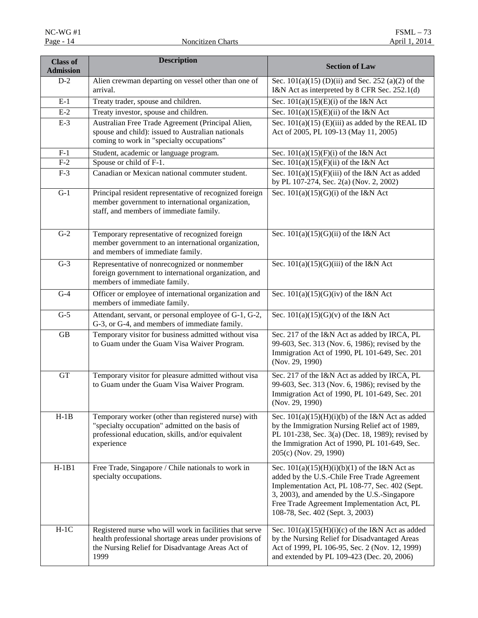| <b>Class of</b><br><b>Admission</b> | <b>Description</b>                                                                                                                                                            | <b>Section of Law</b>                                                                                                                                                                                                                                                               |  |
|-------------------------------------|-------------------------------------------------------------------------------------------------------------------------------------------------------------------------------|-------------------------------------------------------------------------------------------------------------------------------------------------------------------------------------------------------------------------------------------------------------------------------------|--|
| $D-2$                               | Alien crewman departing on vessel other than one of<br>arrival.                                                                                                               | Sec. $101(a)(15)$ (D)(ii) and Sec. 252 (a)(2) of the<br>I&N Act as interpreted by 8 CFR Sec. 252.1(d)                                                                                                                                                                               |  |
| $E-1$                               | Treaty trader, spouse and children.                                                                                                                                           | Sec. $101(a)(15)(E)(i)$ of the I&N Act                                                                                                                                                                                                                                              |  |
| $E-2$                               | Treaty investor, spouse and children.                                                                                                                                         | Sec. $101(a)(15)(E)(ii)$ of the I&N Act                                                                                                                                                                                                                                             |  |
| $E-3$                               | Australian Free Trade Agreement (Principal Alien,<br>spouse and child): issued to Australian nationals<br>coming to work in "specialty occupations"                           | Sec. $101(a)(15)$ (E)(iii) as added by the REAL ID<br>Act of 2005, PL 109-13 (May 11, 2005)                                                                                                                                                                                         |  |
| $F-1$                               | Student, academic or language program.                                                                                                                                        | Sec. $101(a)(15)(F)(i)$ of the I&N Act                                                                                                                                                                                                                                              |  |
| $F-2$                               | Spouse or child of F-1.                                                                                                                                                       | Sec. $101(a)(15)(F)(ii)$ of the I&N Act                                                                                                                                                                                                                                             |  |
| $F-3$                               | Canadian or Mexican national commuter student.                                                                                                                                | Sec. $101(a)(15)(F)(iii)$ of the I&N Act as added<br>by PL 107-274, Sec. 2(a) (Nov. 2, 2002)                                                                                                                                                                                        |  |
| $\overline{G-1}$                    | Principal resident representative of recognized foreign<br>member government to international organization,<br>staff, and members of immediate family.                        | Sec. $101(a)(15)(G)(i)$ of the I&N Act                                                                                                                                                                                                                                              |  |
| $G-2$                               | Temporary representative of recognized foreign<br>member government to an international organization,<br>and members of immediate family.                                     | Sec. $101(a)(15)(G)(ii)$ of the I&N Act                                                                                                                                                                                                                                             |  |
| $G-3$                               | Representative of nonrecognized or nonmember<br>foreign government to international organization, and<br>members of immediate family.                                         | Sec. $101(a)(15)(G)(iii)$ of the I&N Act                                                                                                                                                                                                                                            |  |
| $\overline{G-4}$                    | Officer or employee of international organization and<br>members of immediate family.                                                                                         | Sec. $101(a)(15)(G)(iv)$ of the I&N Act                                                                                                                                                                                                                                             |  |
| $G-5$                               | Attendant, servant, or personal employee of G-1, G-2,<br>G-3, or G-4, and members of immediate family.                                                                        | Sec. $101(a)(15)(G)(v)$ of the I&N Act                                                                                                                                                                                                                                              |  |
| $\operatorname{GB}$                 | Temporary visitor for business admitted without visa<br>to Guam under the Guam Visa Waiver Program.                                                                           | Sec. 217 of the I&N Act as added by IRCA, PL<br>99-603, Sec. 313 (Nov. 6, 1986); revised by the<br>Immigration Act of 1990, PL 101-649, Sec. 201<br>(Nov. 29, 1990)                                                                                                                 |  |
| GT                                  | Temporary visitor for pleasure admitted without visa<br>to Guam under the Guam Visa Waiver Program.                                                                           | Sec. 217 of the I&N Act as added by IRCA, PL<br>99-603, Sec. 313 (Nov. 6, 1986); revised by the<br>Immigration Act of 1990, PL 101-649, Sec. 201<br>(Nov. 29, 1990)                                                                                                                 |  |
| $H-1B$                              | Temporary worker (other than registered nurse) with<br>"specialty occupation" admitted on the basis of<br>professional education, skills, and/or equivalent<br>experience     | Sec. $101(a)(15)(H)(i)(b)$ of the I&N Act as added<br>by the Immigration Nursing Relief act of 1989,<br>PL 101-238, Sec. 3(a) (Dec. 18, 1989); revised by<br>the Immigration Act of 1990, PL 101-649, Sec.<br>205(c) (Nov. 29, 1990)                                                |  |
| $H-1B1$                             | Free Trade, Singapore / Chile nationals to work in<br>specialty occupations.                                                                                                  | Sec. $101(a)(15)(H)(i)(b)(1)$ of the I&N Act as<br>added by the U.S.-Chile Free Trade Agreement<br>Implementation Act, PL 108-77, Sec. 402 (Sept.<br>3, 2003), and amended by the U.S.-Singapore<br>Free Trade Agreement Implementation Act, PL<br>108-78, Sec. 402 (Sept. 3, 2003) |  |
| $H-1C$                              | Registered nurse who will work in facilities that serve<br>health professional shortage areas under provisions of<br>the Nursing Relief for Disadvantage Areas Act of<br>1999 | Sec. $101(a)(15)(H)(i)(c)$ of the I&N Act as added<br>by the Nursing Relief for Disadvantaged Areas<br>Act of 1999, PL 106-95, Sec. 2 (Nov. 12, 1999)<br>and extended by PL 109-423 (Dec. 20, 2006)                                                                                 |  |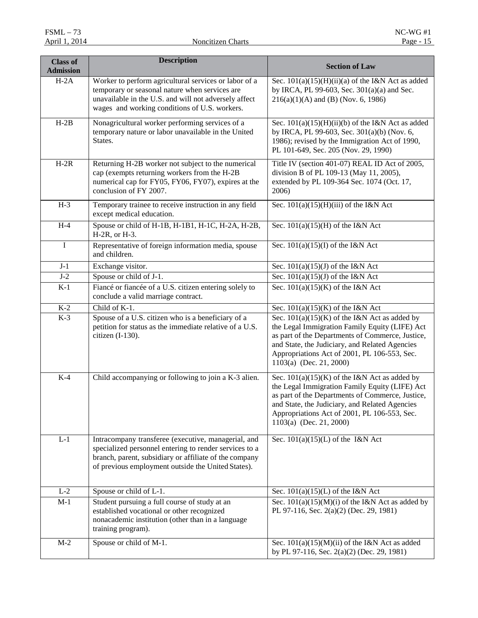| <b>Class of</b><br><b>Admission</b> | <b>Description</b>                                                                                                                                                                                                            | <b>Section of Law</b>                                                                                                                                                                                                                                                              |  |
|-------------------------------------|-------------------------------------------------------------------------------------------------------------------------------------------------------------------------------------------------------------------------------|------------------------------------------------------------------------------------------------------------------------------------------------------------------------------------------------------------------------------------------------------------------------------------|--|
| $H-2A$                              | Worker to perform agricultural services or labor of a<br>temporary or seasonal nature when services are<br>unavailable in the U.S. and will not adversely affect<br>wages and working conditions of U.S. workers.             | Sec. $101(a)(15)(H)(ii)(a)$ of the I&N Act as added<br>by IRCA, PL 99-603, Sec. 301(a)(a) and Sec.<br>$216(a)(1)(A)$ and (B) (Nov. 6, 1986)                                                                                                                                        |  |
| $H-2B$                              | Nonagricultural worker performing services of a<br>temporary nature or labor unavailable in the United<br>States.                                                                                                             | Sec. $101(a)(15)(H)(ii)(b)$ of the I&N Act as added<br>by IRCA, PL 99-603, Sec. 301(a)(b) (Nov. 6,<br>1986); revised by the Immigration Act of 1990,<br>PL 101-649, Sec. 205 (Nov. 29, 1990)                                                                                       |  |
| $H-2R$                              | Returning H-2B worker not subject to the numerical<br>cap (exempts returning workers from the H-2B<br>numerical cap for FY05, FY06, FY07), expires at the<br>conclusion of FY 2007.                                           | Title IV (section 401-07) REAL ID Act of 2005,<br>division B of PL 109-13 (May 11, 2005),<br>extended by PL 109-364 Sec. 1074 (Oct. 17,<br>2006)                                                                                                                                   |  |
| $H-3$                               | Temporary trainee to receive instruction in any field<br>except medical education.                                                                                                                                            | Sec. $101(a)(15)(H)(iii)$ of the I&N Act                                                                                                                                                                                                                                           |  |
| $H-4$                               | Spouse or child of H-1B, H-1B1, H-1C, H-2A, H-2B,<br>H-2R, or H-3.                                                                                                                                                            | Sec. $101(a)(15)(H)$ of the I&N Act                                                                                                                                                                                                                                                |  |
| $\bf{I}$                            | Representative of foreign information media, spouse<br>and children.                                                                                                                                                          | Sec. $101(a)(15)(I)$ of the I&N Act                                                                                                                                                                                                                                                |  |
| $J-1$                               | Exchange visitor.                                                                                                                                                                                                             | Sec. $101(a)(15)(\overline{J})$ of the I&N Act                                                                                                                                                                                                                                     |  |
| $J-2$                               | Spouse or child of J-1.                                                                                                                                                                                                       | Sec. $101(a)(15)(J)$ of the I&N Act                                                                                                                                                                                                                                                |  |
| $K-1$                               | Fiancé or fiancée of a U.S. citizen entering solely to<br>conclude a valid marriage contract.                                                                                                                                 | Sec. $101(a)(15)(K)$ of the I&N Act                                                                                                                                                                                                                                                |  |
| $K-2$                               | Child of K-1.                                                                                                                                                                                                                 | Sec. $101(a)(15)(K)$ of the I&N Act                                                                                                                                                                                                                                                |  |
| $K-3$                               | Spouse of a U.S. citizen who is a beneficiary of a<br>petition for status as the immediate relative of a U.S.<br>citizen (I-130).                                                                                             | Sec. $101(a)(15)(K)$ of the I&N Act as added by<br>the Legal Immigration Family Equity (LIFE) Act<br>as part of the Departments of Commerce, Justice,<br>and State, the Judiciary, and Related Agencies<br>Appropriations Act of 2001, PL 106-553, Sec.<br>1103(a) (Dec. 21, 2000) |  |
| $K-4$                               | Child accompanying or following to join a K-3 alien.                                                                                                                                                                          | Sec. $101(a)(15)(K)$ of the I&N Act as added by<br>the Legal Immigration Family Equity (LIFE) Act<br>as part of the Departments of Commerce, Justice,<br>and State, the Judiciary, and Related Agencies<br>Appropriations Act of 2001, PL 106-553, Sec.<br>1103(a) (Dec. 21, 2000) |  |
| $L-1$                               | Intracompany transferee (executive, managerial, and<br>specialized personnel entering to render services to a<br>branch, parent, subsidiary or affiliate of the company<br>of previous employment outside the United States). | Sec. $101(a)(15)(L)$ of the I&N Act                                                                                                                                                                                                                                                |  |
| $L-2$                               | Spouse or child of L-1.                                                                                                                                                                                                       | Sec. $101(a)(15)(L)$ of the I&N Act                                                                                                                                                                                                                                                |  |
| $M-1$                               | Student pursuing a full course of study at an<br>established vocational or other recognized<br>nonacademic institution (other than in a language<br>training program).                                                        | Sec. $101(a)(15)(M)(i)$ of the I&N Act as added by<br>PL 97-116, Sec. 2(a)(2) (Dec. 29, 1981)                                                                                                                                                                                      |  |
| $M-2$                               | Spouse or child of M-1.                                                                                                                                                                                                       | Sec. $101(a)(15)(M)(ii)$ of the I&N Act as added<br>by PL 97-116, Sec. 2(a)(2) (Dec. 29, 1981)                                                                                                                                                                                     |  |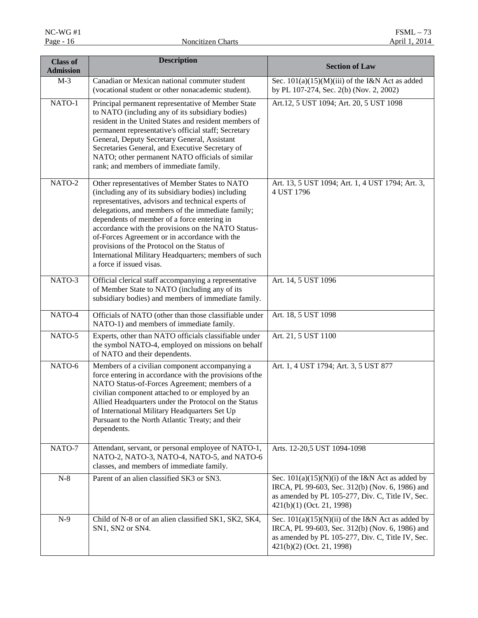| <b>Class of</b><br><b>Admission</b> | <b>Description</b>                                                                                                                                                                                                                                                                                                                                                                                                                                                                                       | <b>Section of Law</b>                                                                                                                                                                   |  |
|-------------------------------------|----------------------------------------------------------------------------------------------------------------------------------------------------------------------------------------------------------------------------------------------------------------------------------------------------------------------------------------------------------------------------------------------------------------------------------------------------------------------------------------------------------|-----------------------------------------------------------------------------------------------------------------------------------------------------------------------------------------|--|
| $M-3$                               | Canadian or Mexican national commuter student<br>(vocational student or other nonacademic student).                                                                                                                                                                                                                                                                                                                                                                                                      | Sec. $101(a)(15)(M)(iii)$ of the I&N Act as added<br>by PL 107-274, Sec. 2(b) (Nov. 2, 2002)                                                                                            |  |
| NATO-1                              | Principal permanent representative of Member State<br>to NATO (including any of its subsidiary bodies)<br>resident in the United States and resident members of<br>permanent representative's official staff; Secretary<br>General, Deputy Secretary General, Assistant<br>Secretaries General, and Executive Secretary of<br>NATO; other permanent NATO officials of similar<br>rank; and members of immediate family.                                                                                  | Art.12, 5 UST 1094; Art. 20, 5 UST 1098                                                                                                                                                 |  |
| NATO-2                              | Other representatives of Member States to NATO<br>(including any of its subsidiary bodies) including<br>representatives, advisors and technical experts of<br>delegations, and members of the immediate family;<br>dependents of member of a force entering in<br>accordance with the provisions on the NATO Status-<br>of-Forces Agreement or in accordance with the<br>provisions of the Protocol on the Status of<br>International Military Headquarters; members of such<br>a force if issued visas. | Art. 13, 5 UST 1094; Art. 1, 4 UST 1794; Art. 3,<br>4 UST 1796                                                                                                                          |  |
| NATO-3                              | Official clerical staff accompanying a representative<br>of Member State to NATO (including any of its<br>subsidiary bodies) and members of immediate family.                                                                                                                                                                                                                                                                                                                                            | Art. 14, 5 UST 1096                                                                                                                                                                     |  |
| NATO-4                              | Officials of NATO (other than those classifiable under<br>NATO-1) and members of immediate family.                                                                                                                                                                                                                                                                                                                                                                                                       | Art. 18, 5 UST 1098                                                                                                                                                                     |  |
| NATO-5                              | Experts, other than NATO officials classifiable under<br>the symbol NATO-4, employed on missions on behalf<br>of NATO and their dependents.                                                                                                                                                                                                                                                                                                                                                              | Art. 21, 5 UST 1100                                                                                                                                                                     |  |
| NATO-6                              | Members of a civilian component accompanying a<br>force entering in accordance with the provisions of the<br>NATO Status-of-Forces Agreement; members of a<br>civilian component attached to or employed by an<br>Allied Headquarters under the Protocol on the Status<br>of International Military Headquarters Set Up<br>Pursuant to the North Atlantic Treaty; and their<br>dependents.                                                                                                               | Art. 1, 4 UST 1794; Art. 3, 5 UST 877                                                                                                                                                   |  |
| NATO-7                              | Attendant, servant, or personal employee of NATO-1,<br>NATO-2, NATO-3, NATO-4, NATO-5, and NATO-6<br>classes, and members of immediate family.                                                                                                                                                                                                                                                                                                                                                           | Arts. 12-20,5 UST 1094-1098                                                                                                                                                             |  |
| $N-8$                               | Parent of an alien classified SK3 or SN3.                                                                                                                                                                                                                                                                                                                                                                                                                                                                | Sec. $101(a)(15)(N)(i)$ of the I&N Act as added by<br>IRCA, PL 99-603, Sec. 312(b) (Nov. 6, 1986) and<br>as amended by PL 105-277, Div. C, Title IV, Sec.<br>421(b)(1) (Oct. 21, 1998)  |  |
| $N-9$                               | Child of N-8 or of an alien classified SK1, SK2, SK4,<br>SN1, SN2 or SN4.                                                                                                                                                                                                                                                                                                                                                                                                                                | Sec. $101(a)(15)(N)(ii)$ of the I&N Act as added by<br>IRCA, PL 99-603, Sec. 312(b) (Nov. 6, 1986) and<br>as amended by PL 105-277, Div. C, Title IV, Sec.<br>421(b)(2) (Oct. 21, 1998) |  |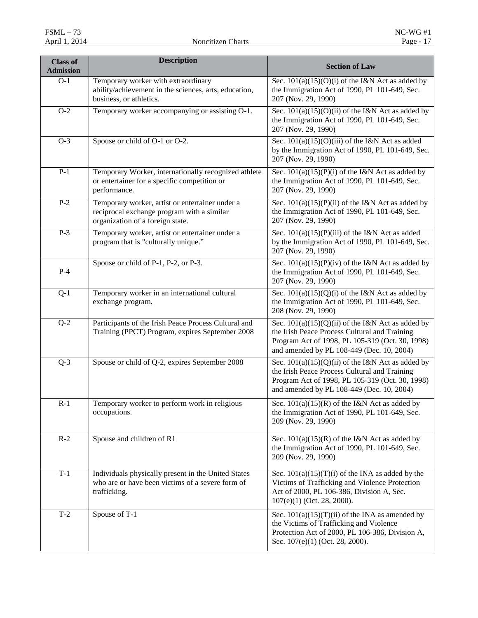| <b>Class of</b><br><b>Admission</b> | <b>Description</b>                                                                                                                | <b>Section of Law</b>                                                                                                                                                                                |  |
|-------------------------------------|-----------------------------------------------------------------------------------------------------------------------------------|------------------------------------------------------------------------------------------------------------------------------------------------------------------------------------------------------|--|
| $O-1$                               | Temporary worker with extraordinary<br>ability/achievement in the sciences, arts, education,<br>business, or athletics.           | Sec. $101(a)(15)(O)(i)$ of the I&N Act as added by<br>the Immigration Act of 1990, PL 101-649, Sec.<br>207 (Nov. 29, 1990)                                                                           |  |
| $O-2$                               | Temporary worker accompanying or assisting O-1.                                                                                   | Sec. $101(a)(15)(O)(ii)$ of the I&N Act as added by<br>the Immigration Act of 1990, PL 101-649, Sec.<br>207 (Nov. 29, 1990)                                                                          |  |
| $O-3$                               | Spouse or child of O-1 or O-2.                                                                                                    | Sec. $101(a)(15)(O)(iii)$ of the I&N Act as added<br>by the Immigration Act of 1990, PL 101-649, Sec.<br>207 (Nov. 29, 1990)                                                                         |  |
| $P-1$                               | Temporary Worker, internationally recognized athlete<br>or entertainer for a specific competition or<br>performance.              | Sec. $101(a)(15)(P)(i)$ of the I&N Act as added by<br>the Immigration Act of 1990, PL 101-649, Sec.<br>207 (Nov. 29, 1990)                                                                           |  |
| $P-2$                               | Temporary worker, artist or entertainer under a<br>reciprocal exchange program with a similar<br>organization of a foreign state. | Sec. $101(a)(15)(P)(ii)$ of the I&N Act as added by<br>the Immigration Act of 1990, PL 101-649, Sec.<br>207 (Nov. 29, 1990)                                                                          |  |
| $P-3$                               | Temporary worker, artist or entertainer under a<br>program that is "culturally unique."                                           | Sec. $101(a)(15)(P)(iii)$ of the I&N Act as added<br>by the Immigration Act of 1990, PL 101-649, Sec.<br>207 (Nov. 29, 1990)                                                                         |  |
| $P-4$                               | Spouse or child of P-1, P-2, or P-3.                                                                                              | Sec. $101(a)(15)(P)(iv)$ of the I&N Act as added by<br>the Immigration Act of 1990, PL 101-649, Sec.<br>207 (Nov. 29, 1990)                                                                          |  |
| $Q-1$                               | Temporary worker in an international cultural<br>exchange program.                                                                | Sec. $101(a)(15)(Q)(i)$ of the I&N Act as added by<br>the Immigration Act of 1990, PL 101-649, Sec.<br>208 (Nov. 29, 1990)                                                                           |  |
| $\overline{Q-2}$                    | Participants of the Irish Peace Process Cultural and<br>Training (PPCT) Program, expires September 2008                           | Sec. $101(a)(15)(Q)(ii)$ of the I&N Act as added by<br>the Irish Peace Process Cultural and Training<br>Program Act of 1998, PL 105-319 (Oct. 30, 1998)<br>and amended by PL 108-449 (Dec. 10, 2004) |  |
| $Q-3$                               | Spouse or child of Q-2, expires September 2008                                                                                    | Sec. 101(a)(15)(Q)(ii) of the I&N Act as added by<br>the Irish Peace Process Cultural and Training<br>Program Act of 1998, PL 105-319 (Oct. 30, 1998)<br>and amended by PL 108-449 (Dec. 10, 2004)   |  |
| $R-1$                               | Temporary worker to perform work in religious<br>occupations.                                                                     | Sec. $101(a)(15)(R)$ of the I&N Act as added by<br>the Immigration Act of 1990, PL 101-649, Sec.<br>209 (Nov. 29, 1990)                                                                              |  |
| $R-2$                               | Spouse and children of R1                                                                                                         | Sec. $101(a)(15)(R)$ of the I&N Act as added by<br>the Immigration Act of 1990, PL 101-649, Sec.<br>209 (Nov. 29, 1990)                                                                              |  |
| $T-1$                               | Individuals physically present in the United States<br>who are or have been victims of a severe form of<br>trafficking.           | Sec. $101(a)(15)(T)(i)$ of the INA as added by the<br>Victims of Trafficking and Violence Protection<br>Act of 2000, PL 106-386, Division A, Sec.<br>107(e)(1) (Oct. 28, 2000).                      |  |
| $T-2$                               | Spouse of T-1                                                                                                                     | Sec. $101(a)(15)(T)(ii)$ of the INA as amended by<br>the Victims of Trafficking and Violence<br>Protection Act of 2000, PL 106-386, Division A,<br>Sec. 107(e)(1) (Oct. 28, 2000).                   |  |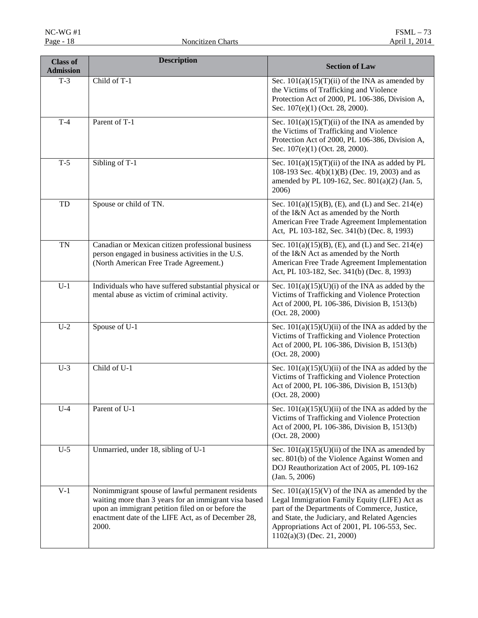| <b>Description</b><br><b>Class of</b><br><b>Admission</b> |                                                                                                                                                                                                                                | <b>Section of Law</b>                                                                                                                                                                                                                                                                 |  |
|-----------------------------------------------------------|--------------------------------------------------------------------------------------------------------------------------------------------------------------------------------------------------------------------------------|---------------------------------------------------------------------------------------------------------------------------------------------------------------------------------------------------------------------------------------------------------------------------------------|--|
| $T-3$                                                     | Child of T-1                                                                                                                                                                                                                   | Sec. $101(a)(15)(T)(ii)$ of the INA as amended by<br>the Victims of Trafficking and Violence<br>Protection Act of 2000, PL 106-386, Division A,<br>Sec. 107(e)(1) (Oct. 28, 2000).                                                                                                    |  |
| $T-4$                                                     | Parent of T-1<br>Sec. $101(a)(15)(T)(ii)$ of the INA as amended by<br>the Victims of Trafficking and Violence<br>Protection Act of 2000, PL 106-386, Division A,<br>Sec. 107(e)(1) (Oct. 28, 2000).                            |                                                                                                                                                                                                                                                                                       |  |
| $T-5$                                                     | Sibling of T-1                                                                                                                                                                                                                 | Sec. $101(a)(15)(T)(ii)$ of the INA as added by PL<br>108-193 Sec. $4(b)(1)(B)$ (Dec. 19, 2003) and as<br>amended by PL 109-162, Sec. 801(a)(2) (Jan. 5,<br>2006)                                                                                                                     |  |
| TD                                                        | Spouse or child of TN.                                                                                                                                                                                                         | Sec. 101(a)(15)(B), (E), and (L) and Sec. 214(e)<br>of the I&N Act as amended by the North<br>American Free Trade Agreement Implementation<br>Act, PL 103-182, Sec. 341(b) (Dec. 8, 1993)                                                                                             |  |
| <b>TN</b>                                                 | Canadian or Mexican citizen professional business<br>person engaged in business activities in the U.S.<br>(North American Free Trade Agreement.)                                                                               | Sec. $101(a)(15)(B)$ , (E), and (L) and Sec. $214(e)$<br>of the I&N Act as amended by the North<br>American Free Trade Agreement Implementation<br>Act, PL 103-182, Sec. 341(b) (Dec. 8, 1993)                                                                                        |  |
| $U-1$                                                     | Individuals who have suffered substantial physical or<br>mental abuse as victim of criminal activity.                                                                                                                          | Sec. $101(a)(15)(U)(i)$ of the INA as added by the<br>Victims of Trafficking and Violence Protection<br>Act of 2000, PL 106-386, Division B, 1513(b)<br>(Oct. 28, 2000)                                                                                                               |  |
| $U-2$                                                     | Spouse of U-1                                                                                                                                                                                                                  | Sec. $101(a)(15)(U)(ii)$ of the INA as added by the<br>Victims of Trafficking and Violence Protection<br>Act of 2000, PL 106-386, Division B, 1513(b)<br>(Oct. 28, 2000)                                                                                                              |  |
| $U-3$                                                     | Child of U-1                                                                                                                                                                                                                   | Sec. $101(a)(15)(U)(ii)$ of the INA as added by the<br>Victims of Trafficking and Violence Protection<br>Act of 2000, PL 106-386, Division B, 1513(b)<br>(Oct. 28, 2000)                                                                                                              |  |
| $U-4$                                                     | Parent of U-1                                                                                                                                                                                                                  | Sec. $101(a)(15)(U)(ii)$ of the INA as added by the<br>Victims of Trafficking and Violence Protection<br>Act of 2000, PL 106-386, Division B, 1513(b)<br>(Oct. 28, 2000)                                                                                                              |  |
| $U-5$                                                     | Unmarried, under 18, sibling of U-1                                                                                                                                                                                            | Sec. $101(a)(15)(U)(ii)$ of the INA as amended by<br>sec. 801(b) of the Violence Against Women and<br>DOJ Reauthorization Act of 2005, PL 109-162<br>(Jan. 5, 2006)                                                                                                                   |  |
| $V-1$                                                     | Nonimmigrant spouse of lawful permanent residents<br>waiting more than 3 years for an immigrant visa based<br>upon an immigrant petition filed on or before the<br>enactment date of the LIFE Act, as of December 28,<br>2000. | Sec. $101(a)(15)(V)$ of the INA as amended by the<br>Legal Immigration Family Equity (LIFE) Act as<br>part of the Departments of Commerce, Justice,<br>and State, the Judiciary, and Related Agencies<br>Appropriations Act of 2001, PL 106-553, Sec.<br>$1102(a)(3)$ (Dec. 21, 2000) |  |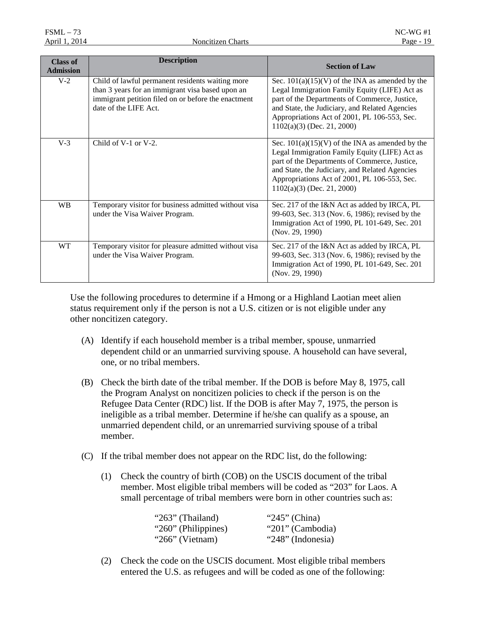| <b>Class of</b><br><b>Admission</b> | <b>Description</b>                                                                                                                                                                   | <b>Section of Law</b>                                                                                                                                                                                                                                                                 |
|-------------------------------------|--------------------------------------------------------------------------------------------------------------------------------------------------------------------------------------|---------------------------------------------------------------------------------------------------------------------------------------------------------------------------------------------------------------------------------------------------------------------------------------|
| $V-2$                               | Child of lawful permanent residents waiting more<br>than 3 years for an immigrant visa based upon an<br>immigrant petition filed on or before the enactment<br>date of the LIFE Act. | Sec. $101(a)(15)(V)$ of the INA as amended by the<br>Legal Immigration Family Equity (LIFE) Act as<br>part of the Departments of Commerce, Justice,<br>and State, the Judiciary, and Related Agencies<br>Appropriations Act of 2001, PL 106-553, Sec.<br>$1102(a)(3)$ (Dec. 21, 2000) |
| $V-3$                               | Child of V-1 or V-2.                                                                                                                                                                 | Sec. $101(a)(15)(V)$ of the INA as amended by the<br>Legal Immigration Family Equity (LIFE) Act as<br>part of the Departments of Commerce, Justice,<br>and State, the Judiciary, and Related Agencies<br>Appropriations Act of 2001, PL 106-553, Sec.<br>$1102(a)(3)$ (Dec. 21, 2000) |
| <b>WB</b>                           | Temporary visitor for business admitted without visa<br>under the Visa Waiver Program.                                                                                               | Sec. 217 of the I&N Act as added by IRCA, PL<br>99-603, Sec. 313 (Nov. 6, 1986); revised by the<br>Immigration Act of 1990, PL 101-649, Sec. 201<br>(Nov. 29, 1990)                                                                                                                   |
| <b>WT</b>                           | Temporary visitor for pleasure admitted without visa<br>under the Visa Waiver Program.                                                                                               | Sec. 217 of the I&N Act as added by IRCA, PL<br>99-603, Sec. 313 (Nov. 6, 1986); revised by the<br>Immigration Act of 1990, PL 101-649, Sec. 201<br>(Nov. 29, 1990)                                                                                                                   |

Use the following procedures to determine if a Hmong or a Highland Laotian meet alien status requirement only if the person is not a U.S. citizen or is not eligible under any other noncitizen category.

- (A) Identify if each household member is a tribal member, spouse, unmarried dependent child or an unmarried surviving spouse. A household can have several, one, or no tribal members.
- (B) Check the birth date of the tribal member. If the DOB is before May 8, 1975, call the Program Analyst on noncitizen policies to check if the person is on the Refugee Data Center (RDC) list. If the DOB is after May 7, 1975, the person is ineligible as a tribal member. Determine if he/she can qualify as a spouse, an unmarried dependent child, or an unremarried surviving spouse of a tribal member.
- (C) If the tribal member does not appear on the RDC list, do the following:
	- (1) Check the country of birth (COB) on the USCIS document of the tribal member. Most eligible tribal members will be coded as "203" for Laos. A small percentage of tribal members were born in other countries such as:

| " $263$ " (Thailand) | " $245$ " (China) |
|----------------------|-------------------|
| "260" (Philippines)  | "201" (Cambodia)  |
| " $266$ " (Vietnam)  | "248" (Indonesia) |

(2) Check the code on the USCIS document. Most eligible tribal members entered the U.S. as refugees and will be coded as one of the following: